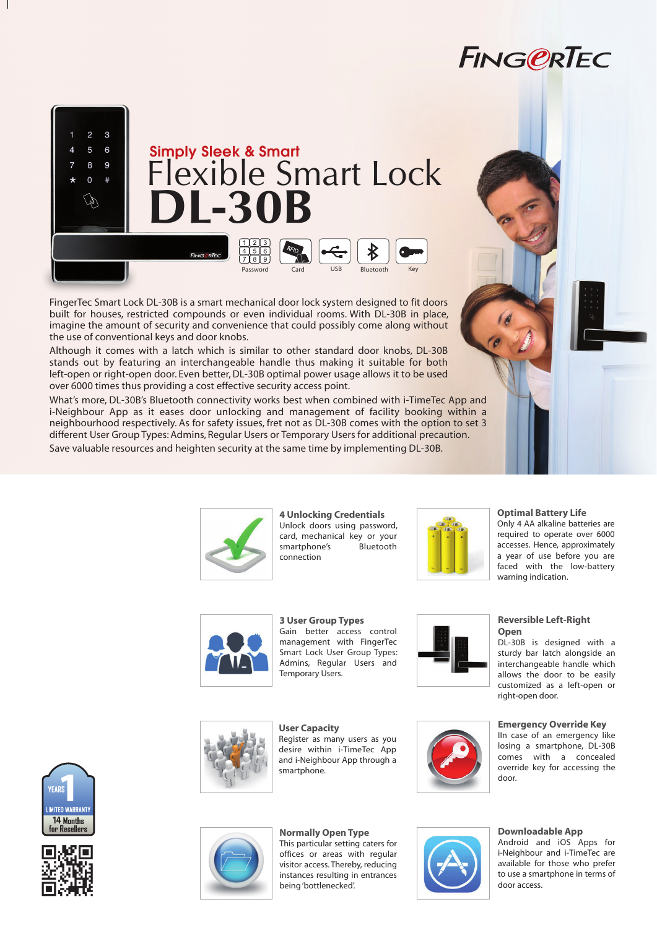# **FING@RTEC**



FingerTec Smart Lock DL-30B is a smart mechanical door lock system designed to fit doors built for houses, restricted compounds or even individual rooms. With DL-30B in place, imagine the amount of security and convenience that could possibly come along without the use of conventional keys and door knobs.

Although it comes with a latch which is similar to other standard door knobs, DL-30B stands out by featuring an interchangeable handle thus making it suitable for both left-open or right-open door. Even better, DL-30B optimal power usage allows it to be used over 6000 times thus providing a cost effective security access point.

What's more, DL-30B's Bluetooth connectivity works best when combined with i-TimeTec App and i-Neighbour App as it eases door unlocking and management of facility booking within a neighbourhood respectively. As for safety issues, fret not as DL-30B comes with the option to set 3 different User Group Types: Admins, Regular Users or Temporary Users for additional precaution. Save valuable resources and heighten security at the same time by implementing DL-30B.



**4 Unlocking Credentials** Unlock doors using password, card, mechanical key or your smartphone's Bluetooth connection



#### **Optimal Battery Life**

Only 4 AA alkaline batteries are required to operate over 6000 accesses. Hence, approximately a year of use before you are faced with the low-battery warning indication.



**3 User Group Types** Gain better access control management with FingerTec Smart Lock User Group Types: Admins, Regular Users and Temporary Users.

Register as many users as you desire within i-TimeTec App and i-Neighbour App through a

**User Capacity**

smartphone.



## DL-30B is designed with a

**Open**

**Reversible Left-Right** 

sturdy bar latch alongside an interchangeable handle which allows the door to be easily customized as a left-open or right-open door.

### **Emergency Override Key**

IIn case of an emergency like losing a smartphone, DL-30B comes with a concealed override key for accessing the door.

### **Downloadable App**

Android and iOS Apps for i-Neighbour and i-TimeTec are available for those who prefer to use a smartphone in terms of door access.





**Normally Open Type** This particular setting caters for offices or areas with regular visitor access. Thereby, reducing instances resulting in entrances being 'bottlenecked'.